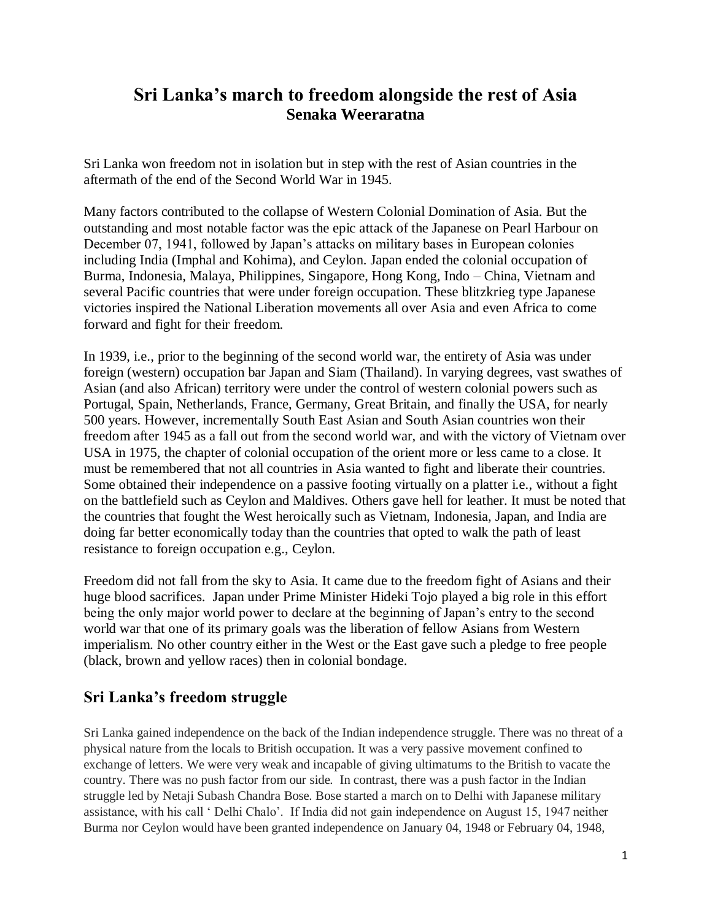# **Sri Lanka's march to freedom alongside the rest of Asia Senaka Weeraratna**

Sri Lanka won freedom not in isolation but in step with the rest of Asian countries in the aftermath of the end of the Second World War in 1945.

Many factors contributed to the collapse of Western Colonial Domination of Asia. But the outstanding and most notable factor was the epic attack of the Japanese on Pearl Harbour on December 07, 1941, followed by Japan's attacks on military bases in European colonies including India (Imphal and Kohima), and Ceylon. Japan ended the colonial occupation of Burma, Indonesia, Malaya, Philippines, Singapore, Hong Kong, Indo – China, Vietnam and several Pacific countries that were under foreign occupation. These blitzkrieg type Japanese victories inspired the National Liberation movements all over Asia and even Africa to come forward and fight for their freedom.

In 1939, i.e., prior to the beginning of the second world war, the entirety of Asia was under foreign (western) occupation bar Japan and Siam (Thailand). In varying degrees, vast swathes of Asian (and also African) territory were under the control of western colonial powers such as Portugal, Spain, Netherlands, France, Germany, Great Britain, and finally the USA, for nearly 500 years. However, incrementally South East Asian and South Asian countries won their freedom after 1945 as a fall out from the second world war, and with the victory of Vietnam over USA in 1975, the chapter of colonial occupation of the orient more or less came to a close. It must be remembered that not all countries in Asia wanted to fight and liberate their countries. Some obtained their independence on a passive footing virtually on a platter i.e., without a fight on the battlefield such as Ceylon and Maldives. Others gave hell for leather. It must be noted that the countries that fought the West heroically such as Vietnam, Indonesia, Japan, and India are doing far better economically today than the countries that opted to walk the path of least resistance to foreign occupation e.g., Ceylon.

Freedom did not fall from the sky to Asia. It came due to the freedom fight of Asians and their huge blood sacrifices. Japan under Prime Minister Hideki Tojo played a big role in this effort being the only major world power to declare at the beginning of Japan's entry to the second world war that one of its primary goals was the liberation of fellow Asians from Western imperialism. No other country either in the West or the East gave such a pledge to free people (black, brown and yellow races) then in colonial bondage.

### **Sri Lanka's freedom struggle**

Sri Lanka gained independence on the back of the Indian independence struggle. There was no threat of a physical nature from the locals to British occupation. It was a very passive movement confined to exchange of letters. We were very weak and incapable of giving ultimatums to the British to vacate the country. There was no push factor from our side. In contrast, there was a push factor in the Indian struggle led by Netaji Subash Chandra Bose. Bose started a march on to Delhi with Japanese military assistance, with his call ' Delhi Chalo'. If India did not gain independence on August 15, 1947 neither Burma nor Ceylon would have been granted independence on January 04, 1948 or February 04, 1948,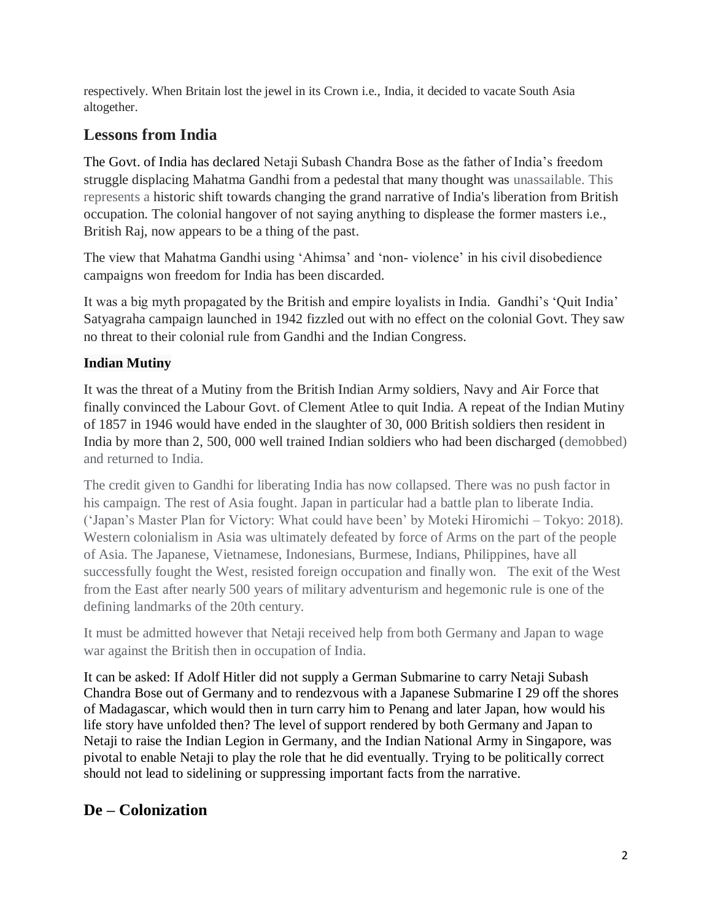respectively. When Britain lost the jewel in its Crown i.e., India, it decided to vacate South Asia altogether.

## **Lessons from India**

The Govt. of India has declared Netaji Subash Chandra Bose as the father of India's freedom struggle displacing Mahatma Gandhi from a pedestal that many thought was unassailable. This represents a historic shift towards changing the grand narrative of India's liberation from British occupation. The colonial hangover of not saying anything to displease the former masters i.e., British Raj, now appears to be a thing of the past.

The view that Mahatma Gandhi using 'Ahimsa' and 'non- violence' in his civil disobedience campaigns won freedom for India has been discarded.

It was a big myth propagated by the British and empire loyalists in India. Gandhi's 'Quit India' Satyagraha campaign launched in 1942 fizzled out with no effect on the colonial Govt. They saw no threat to their colonial rule from Gandhi and the Indian Congress.

#### **Indian Mutiny**

It was the threat of a Mutiny from the British Indian Army soldiers, Navy and Air Force that finally convinced the Labour Govt. of Clement Atlee to quit India. A repeat of the Indian Mutiny of 1857 in 1946 would have ended in the slaughter of 30, 000 British soldiers then resident in India by more than 2, 500, 000 well trained Indian soldiers who had been discharged (demobbed) and returned to India.

The credit given to Gandhi for liberating India has now collapsed. There was no push factor in his campaign. The rest of Asia fought. Japan in particular had a battle plan to liberate India. ('Japan's Master Plan for Victory: What could have been' by Moteki Hiromichi – Tokyo: 2018). Western colonialism in Asia was ultimately defeated by force of Arms on the part of the people of Asia. The Japanese, Vietnamese, Indonesians, Burmese, Indians, Philippines, have all successfully fought the West, resisted foreign occupation and finally won. The exit of the West from the East after nearly 500 years of military adventurism and hegemonic rule is one of the defining landmarks of the 20th century.

It must be admitted however that Netaji received help from both Germany and Japan to wage war against the British then in occupation of India.

It can be asked: If Adolf Hitler did not supply a German Submarine to carry Netaji Subash Chandra Bose out of Germany and to rendezvous with a Japanese Submarine I 29 off the shores of Madagascar, which would then in turn carry him to Penang and later Japan, how would his life story have unfolded then? The level of support rendered by both Germany and Japan to Netaji to raise the Indian Legion in Germany, and the Indian National Army in Singapore, was pivotal to enable Netaji to play the role that he did eventually. Trying to be politically correct should not lead to sidelining or suppressing important facts from the narrative.

# **De – Colonization**